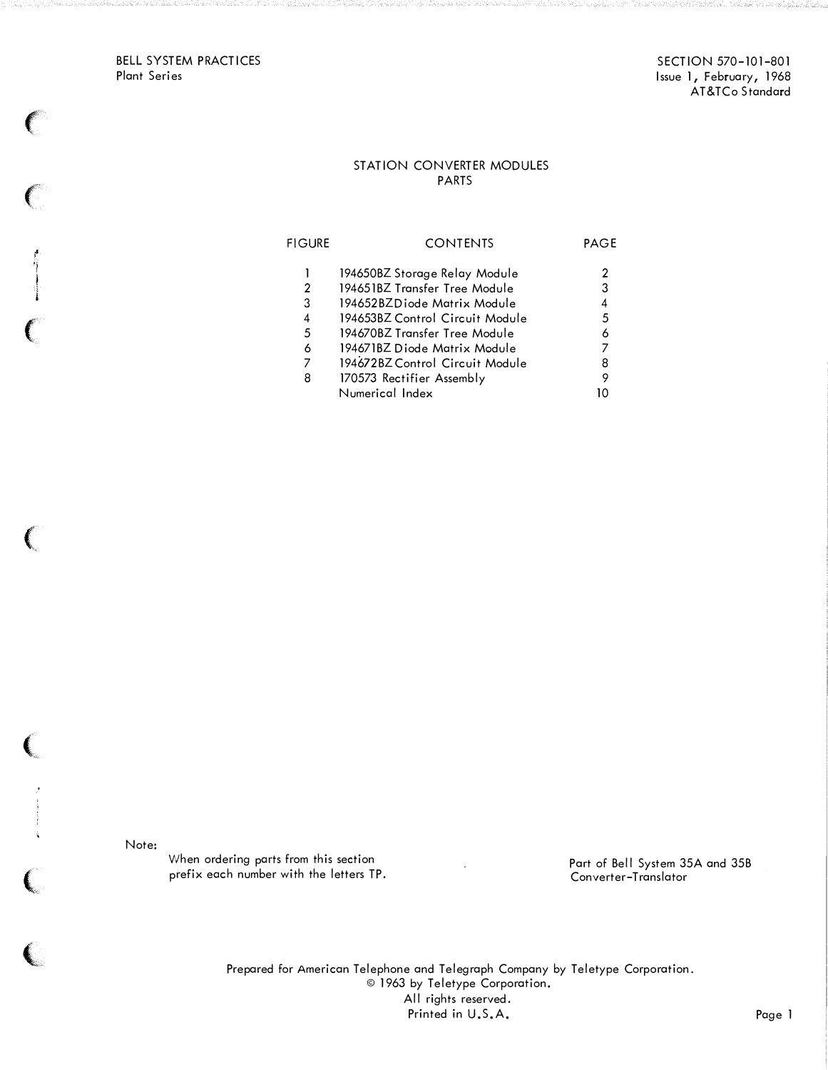BELL SYSTEM PRACTICES Plant Series

 $\big($ 

**t** l

## STATION CONVERTER MODULES PARTS

| <b>FIGURE</b>              | <b>CONTENTS</b>                                                                                                                                                                                                                      | PAGE                       |
|----------------------------|--------------------------------------------------------------------------------------------------------------------------------------------------------------------------------------------------------------------------------------|----------------------------|
| 2<br>3<br>4<br>5<br>6<br>7 | 194650BZ Storage Relay Module<br>194651BZ Transfer Tree Module<br>194652BZDiode Matrix Module<br>194653BZ Control Circuit Module<br>194670BZ Transfer Tree Module<br>194671BZ Diode Matrix Module<br>194672BZ Control Circuit Module | 2<br>3<br>4<br>5<br>6<br>8 |
| 8                          | 170573 Rectifier Assembly<br>Numerical Index                                                                                                                                                                                         | 9<br>חו                    |

Note:

 $\begin{array}{c} \begin{array}{c} \begin{array}{c} \end{array} \end{array}$ 

 $\overline{\mathbf{C}}$ 

When ordering parts from this section prefix each number with the letters TP.

Part of Bell System 35A and 35B Converter-Translator

Prepared for American Telephone and Telegraph Company by Teletype Corporation. © 1963 by Teletype Corporation. All rights reserved. Printed in U.S.A. Page 1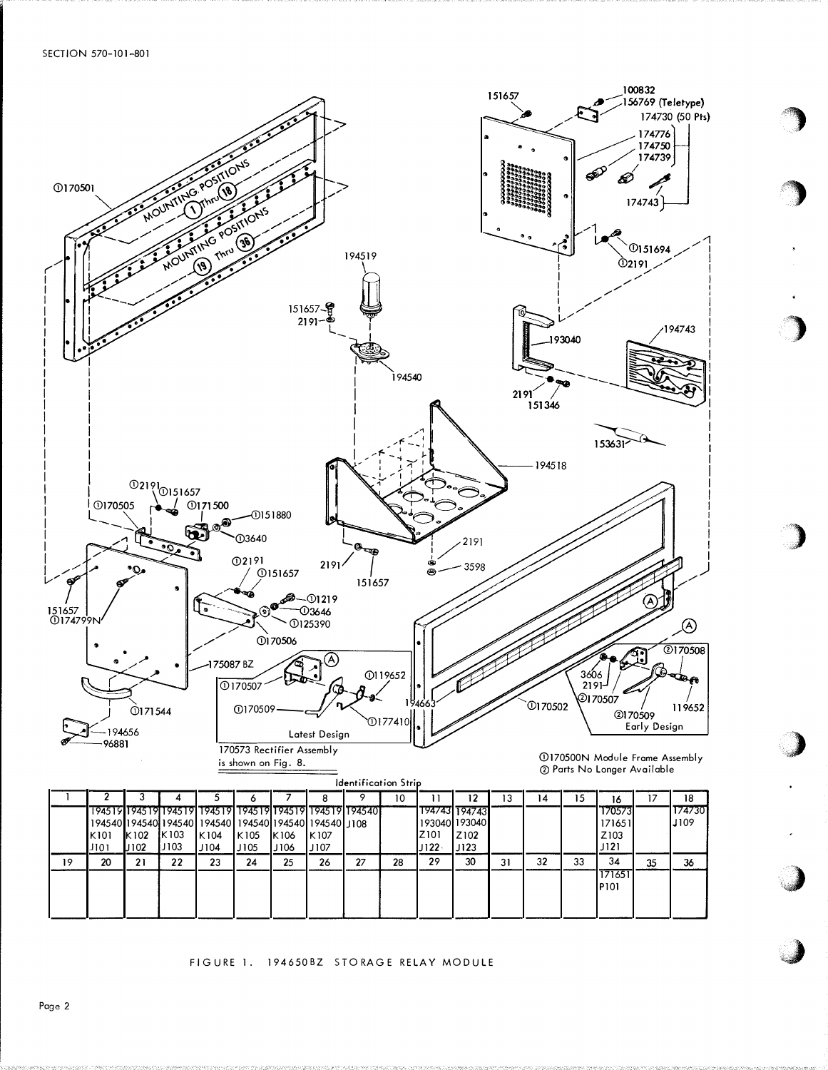SECTION 570-101-801



## FIGURE 1. 194650BZ STORAGE RELAY MODULE

Page 2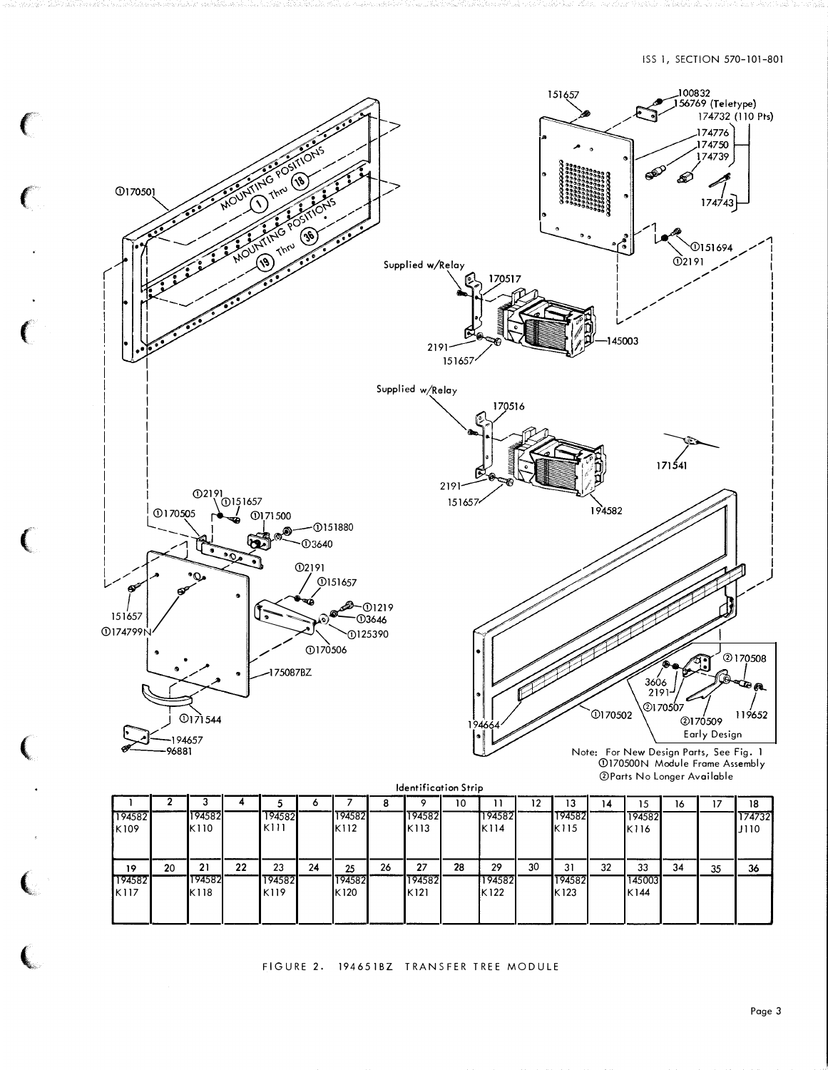

 $\left($ 

 $\mathbf{C}$ 

 $\mathbf{C}$ 

 $\big($ 

 $\big($ 

 $\epsilon$ 

l

| <b>Identification Strip</b> |    |        |    |        |    |        |    |        |    |        |    |        |    |        |    |    |             |
|-----------------------------|----|--------|----|--------|----|--------|----|--------|----|--------|----|--------|----|--------|----|----|-------------|
|                             |    |        |    |        |    |        |    |        | 10 |        | 12 | 13     | 14 | 15     | 16 | 17 | 18          |
| 194582                      |    | 194582 |    | 194582 |    | 194582 |    | 194582 |    | 194582 |    | 194582 |    | 194582 |    |    | 174732      |
| K109                        |    | K110   |    | K111   |    | K112   |    | IK 113 |    | IK 114 |    | K115   |    | K116   |    |    | <b>J110</b> |
|                             |    |        |    |        |    |        |    |        |    |        |    |        |    |        |    |    |             |
| 19                          | 20 | 21     | 22 | 23     | 24 | 25     | 26 | 27     | 28 | 29     | 30 | 31     | 32 | 33     | 34 | 35 | 36          |
| 194582                      |    | 194582 |    | 194582 |    | 194582 |    | 194582 |    | 194582 |    | 194582 |    | 145003 |    |    |             |
| IK117                       |    | K118   |    | K119   |    | K120   |    | IK 121 |    | K122   |    | K123   |    | K144   |    |    |             |
|                             |    |        |    |        |    |        |    |        |    |        |    |        |    |        |    |    |             |
|                             |    |        |    |        |    |        |    |        |    |        |    |        |    |        |    |    |             |

FIGURE 2. 194651BZ TRANSFER TREE MODULE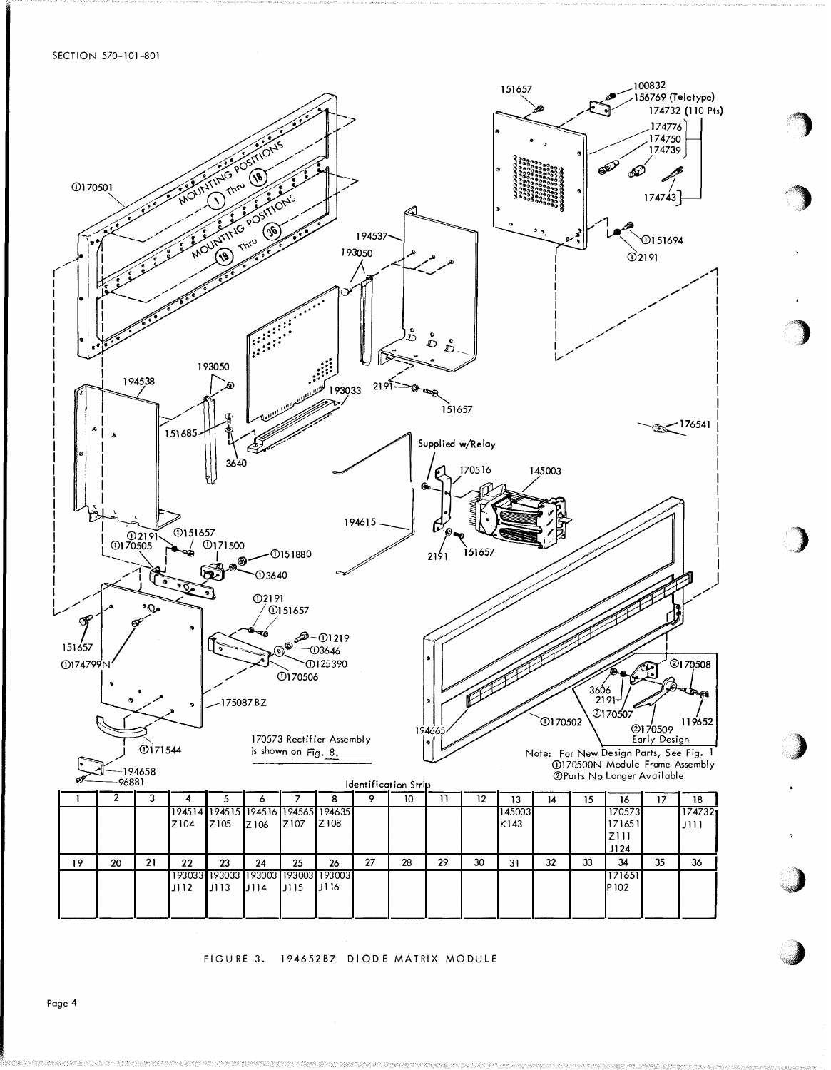SECTION 570-101-801



FIGURE 3. 194652BZ DIODE MATRIX MODULE

Page 4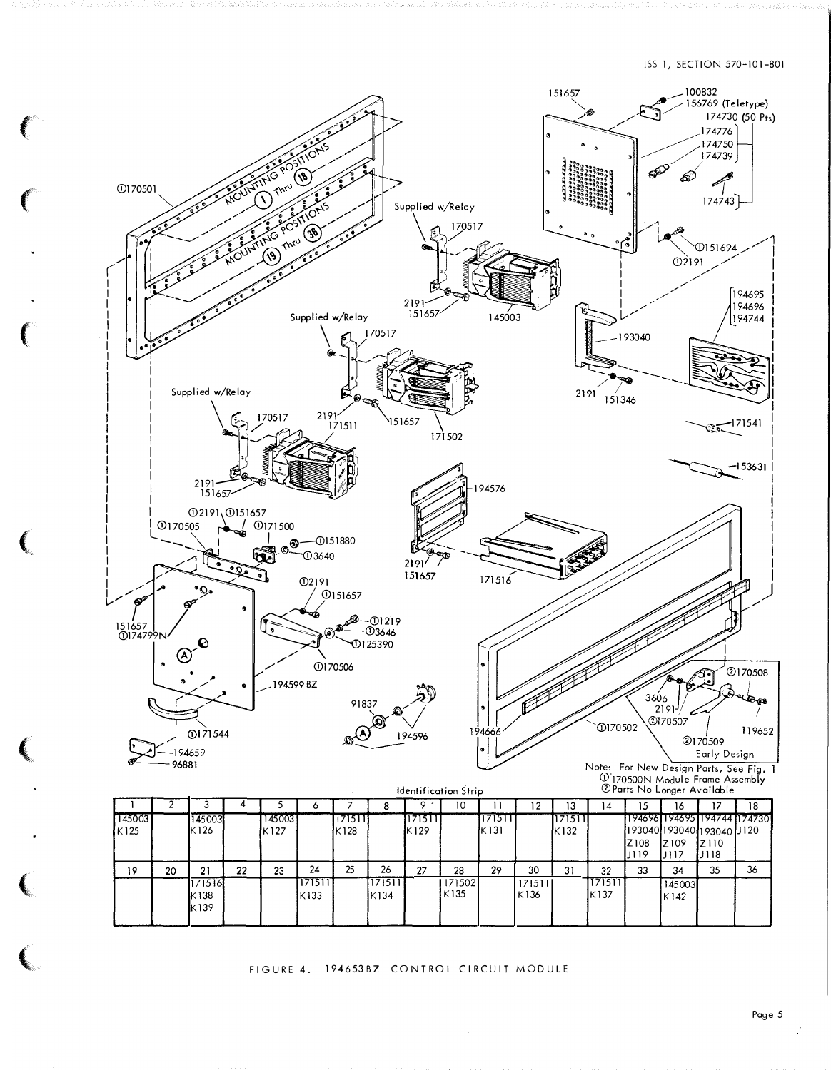

FIGURE 4. 194653BZ CONTROL CIRCUIT MODULE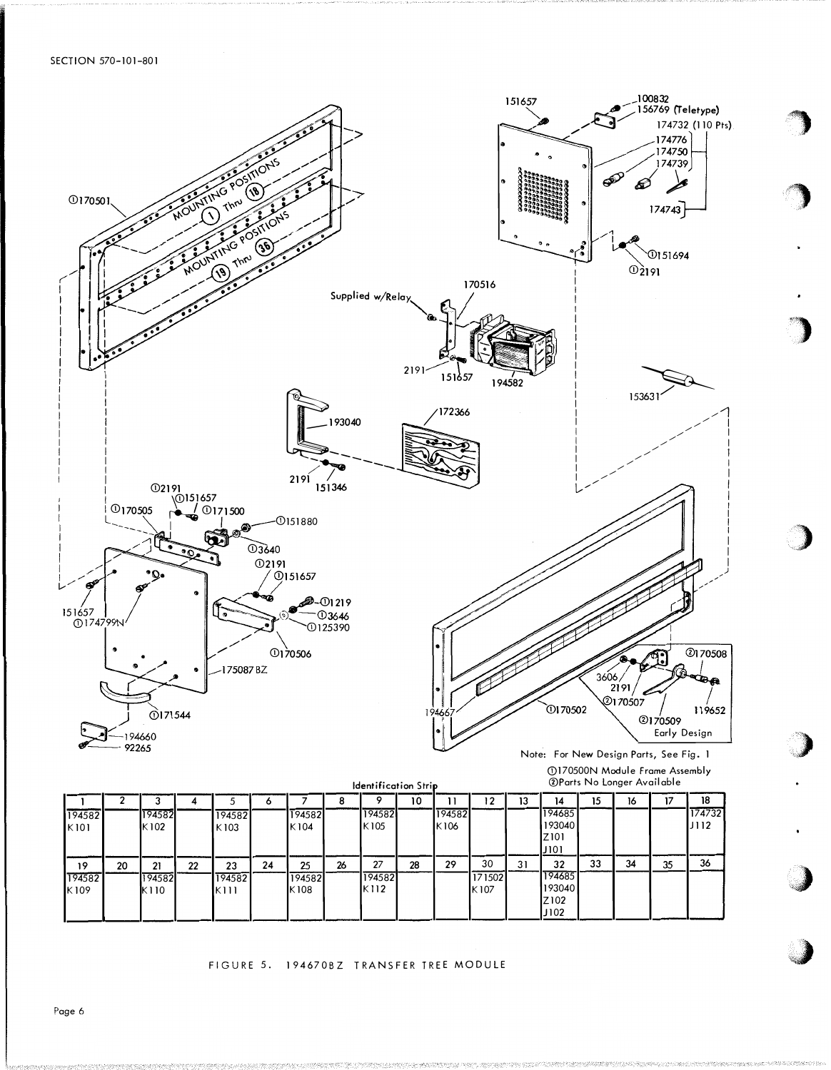

FIGURE 5. 194670BZ TRANSFER TREE MODULE

 $K112$ 

K108

193040

Z102 J102

K107

Page 6

K109

K110

 $K111$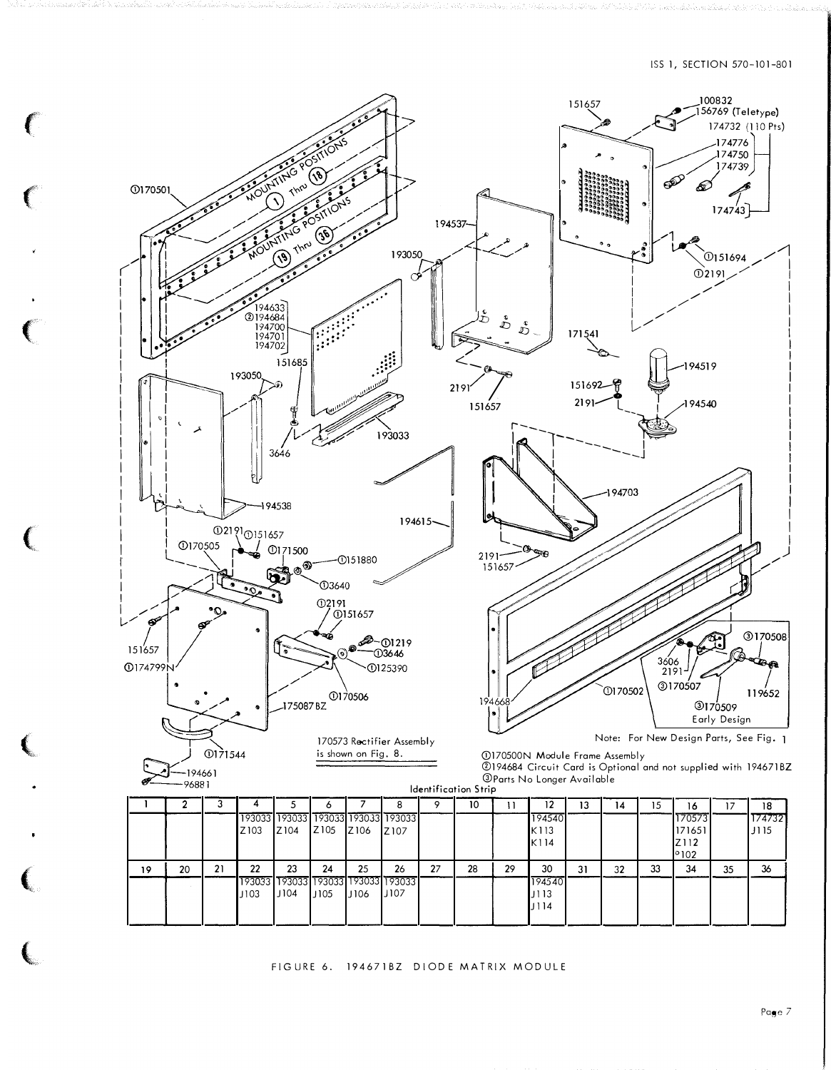

FIGURE 6. 194671BZ DIODE MATRIX MODULE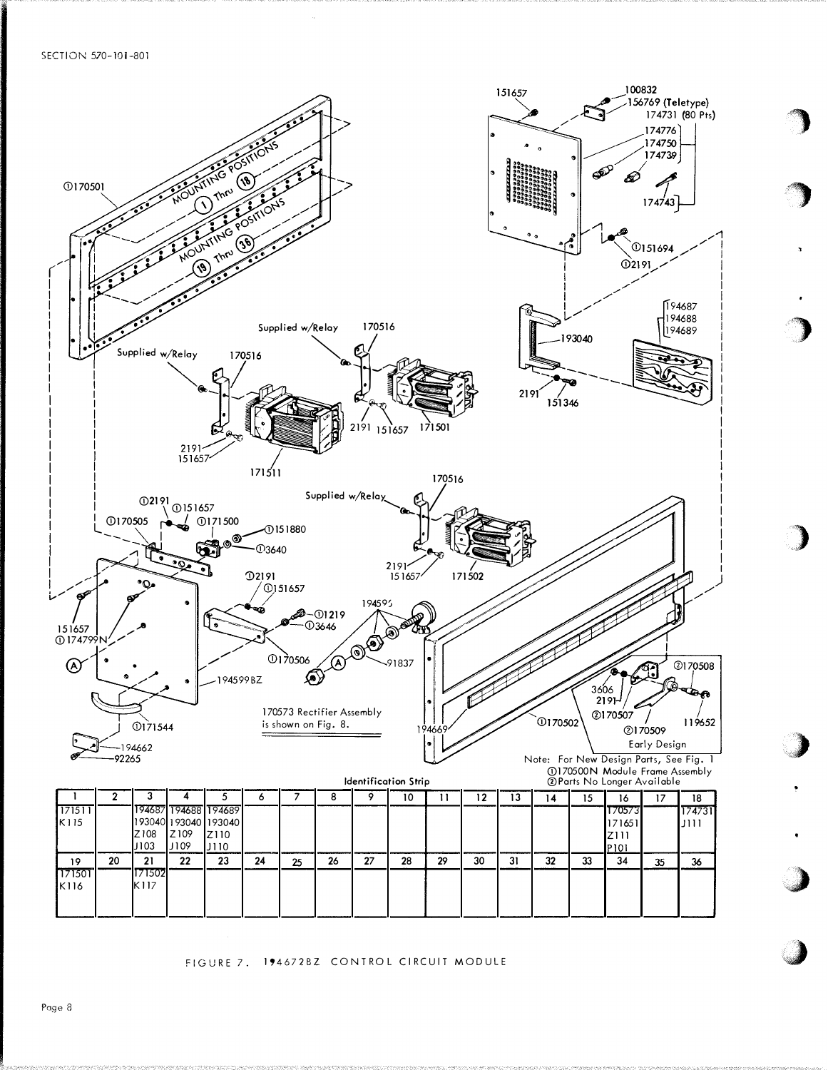SECTION 570-101-801



FIGURE 7. 1946728Z CONTROL CIRCUIT MODULE

Page 8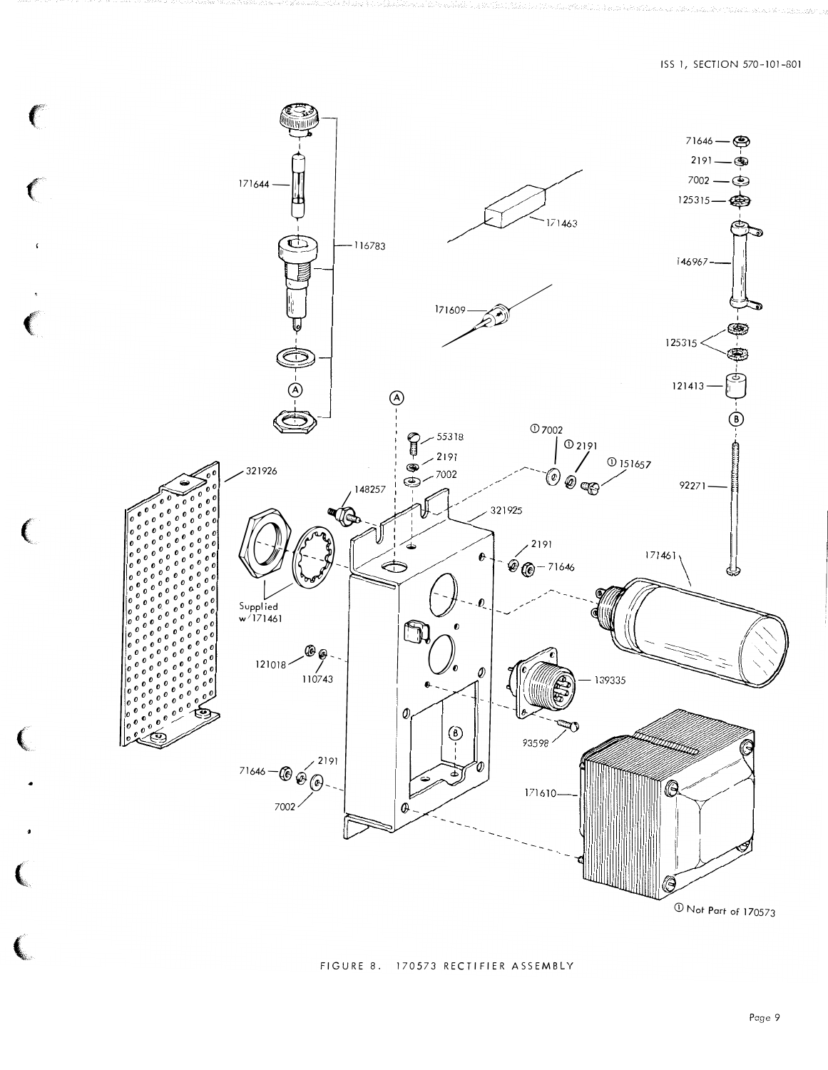

 $\big($ 

## FIGURE 8. 170573 RECTIFIER ASSEMBLY